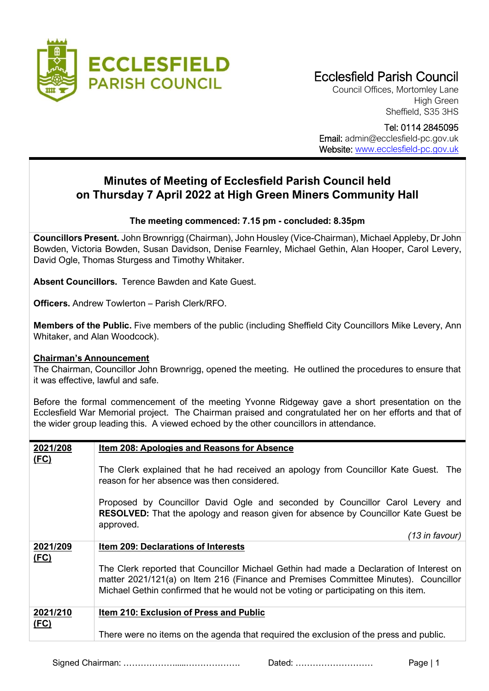

# Ecclesfield Parish Council

Council Offices, Mortomley Lane High Green Sheffield, S35 3HS

Tel: 0114 2845095

Email: admin@ecclesfield-pc.gov.uk Website: [www.ecclesfield-pc.gov.uk](http://www.ecclesfield-pc.gov.uk/)

## **Minutes of Meeting of Ecclesfield Parish Council held on Thursday 7 April 2022 at High Green Miners Community Hall**

#### **The meeting commenced: 7.15 pm - concluded: 8.35pm**

**Councillors Present.** John Brownrigg (Chairman), John Housley (Vice-Chairman), Michael Appleby, Dr John Bowden, Victoria Bowden, Susan Davidson, Denise Fearnley, Michael Gethin, Alan Hooper, Carol Levery, David Ogle, Thomas Sturgess and Timothy Whitaker.

**Absent Councillors.** Terence Bawden and Kate Guest.

**Officers.** Andrew Towlerton – Parish Clerk/RFO.

**Members of the Public.** Five members of the public (including Sheffield City Councillors Mike Levery, Ann Whitaker, and Alan Woodcock).

#### **Chairman's Announcement**

The Chairman, Councillor John Brownrigg, opened the meeting. He outlined the procedures to ensure that it was effective, lawful and safe.

Before the formal commencement of the meeting Yvonne Ridgeway gave a short presentation on the Ecclesfield War Memorial project. The Chairman praised and congratulated her on her efforts and that of the wider group leading this. A viewed echoed by the other councillors in attendance.

| 2021/208    | <b>Item 208: Apologies and Reasons for Absence</b>                                                                                                                                                                                                                    |  |  |  |  |  |  |
|-------------|-----------------------------------------------------------------------------------------------------------------------------------------------------------------------------------------------------------------------------------------------------------------------|--|--|--|--|--|--|
| (FC)        | The Clerk explained that he had received an apology from Councillor Kate Guest. The<br>reason for her absence was then considered.                                                                                                                                    |  |  |  |  |  |  |
|             | Proposed by Councillor David Ogle and seconded by Councillor Carol Levery and<br><b>RESOLVED:</b> That the apology and reason given for absence by Councillor Kate Guest be<br>approved.                                                                              |  |  |  |  |  |  |
|             | $(13$ in favour)                                                                                                                                                                                                                                                      |  |  |  |  |  |  |
| 2021/209    | <b>Item 209: Declarations of Interests</b>                                                                                                                                                                                                                            |  |  |  |  |  |  |
| (FC)        |                                                                                                                                                                                                                                                                       |  |  |  |  |  |  |
|             | The Clerk reported that Councillor Michael Gethin had made a Declaration of Interest on<br>matter 2021/121(a) on Item 216 (Finance and Premises Committee Minutes). Councillor<br>Michael Gethin confirmed that he would not be voting or participating on this item. |  |  |  |  |  |  |
| 2021/210    | <b>Item 210: Exclusion of Press and Public</b>                                                                                                                                                                                                                        |  |  |  |  |  |  |
| <u>(FC)</u> | There were no items on the agenda that required the exclusion of the press and public.                                                                                                                                                                                |  |  |  |  |  |  |

Signed Chairman: ……………….....………………. Dated: ……………………… Page | 1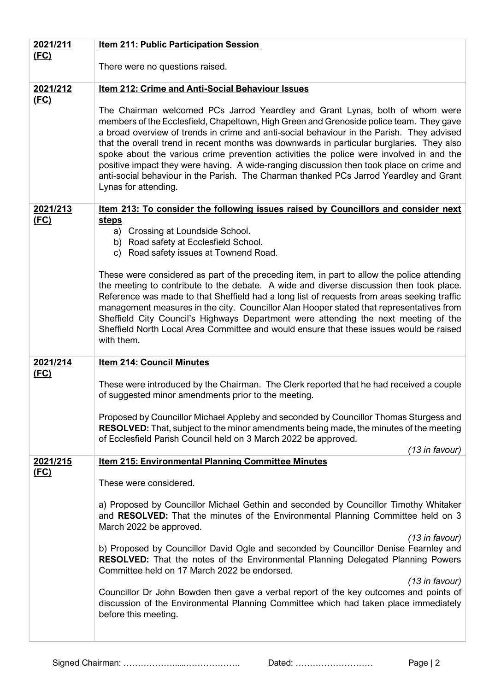| 2021/211         | <b>Item 211: Public Participation Session</b>                                                                                                                                                                                                                                                                                                                                                                                                                                                                                                                                                                                                                              |  |  |  |  |  |  |
|------------------|----------------------------------------------------------------------------------------------------------------------------------------------------------------------------------------------------------------------------------------------------------------------------------------------------------------------------------------------------------------------------------------------------------------------------------------------------------------------------------------------------------------------------------------------------------------------------------------------------------------------------------------------------------------------------|--|--|--|--|--|--|
| (FC)             | There were no questions raised.                                                                                                                                                                                                                                                                                                                                                                                                                                                                                                                                                                                                                                            |  |  |  |  |  |  |
|                  |                                                                                                                                                                                                                                                                                                                                                                                                                                                                                                                                                                                                                                                                            |  |  |  |  |  |  |
| 2021/212<br>(FC) | Item 212: Crime and Anti-Social Behaviour Issues                                                                                                                                                                                                                                                                                                                                                                                                                                                                                                                                                                                                                           |  |  |  |  |  |  |
|                  | The Chairman welcomed PCs Jarrod Yeardley and Grant Lynas, both of whom were<br>members of the Ecclesfield, Chapeltown, High Green and Grenoside police team. They gave<br>a broad overview of trends in crime and anti-social behaviour in the Parish. They advised<br>that the overall trend in recent months was downwards in particular burglaries. They also<br>spoke about the various crime prevention activities the police were involved in and the<br>positive impact they were having. A wide-ranging discussion then took place on crime and<br>anti-social behaviour in the Parish. The Charman thanked PCs Jarrod Yeardley and Grant<br>Lynas for attending. |  |  |  |  |  |  |
| 2021/213         | Item 213: To consider the following issues raised by Councillors and consider next                                                                                                                                                                                                                                                                                                                                                                                                                                                                                                                                                                                         |  |  |  |  |  |  |
| (FC)             | <b>steps</b><br>a) Crossing at Loundside School.                                                                                                                                                                                                                                                                                                                                                                                                                                                                                                                                                                                                                           |  |  |  |  |  |  |
|                  | b) Road safety at Ecclesfield School.                                                                                                                                                                                                                                                                                                                                                                                                                                                                                                                                                                                                                                      |  |  |  |  |  |  |
|                  | c) Road safety issues at Townend Road.                                                                                                                                                                                                                                                                                                                                                                                                                                                                                                                                                                                                                                     |  |  |  |  |  |  |
|                  | These were considered as part of the preceding item, in part to allow the police attending<br>the meeting to contribute to the debate. A wide and diverse discussion then took place.<br>Reference was made to that Sheffield had a long list of requests from areas seeking traffic<br>management measures in the city. Councillor Alan Hooper stated that representatives from<br>Sheffield City Council's Highways Department were attending the next meeting of the<br>Sheffield North Local Area Committee and would ensure that these issues would be raised<br>with them.                                                                                           |  |  |  |  |  |  |
| 2021/214         | <b>Item 214: Council Minutes</b>                                                                                                                                                                                                                                                                                                                                                                                                                                                                                                                                                                                                                                           |  |  |  |  |  |  |
| <u>(FC)</u>      |                                                                                                                                                                                                                                                                                                                                                                                                                                                                                                                                                                                                                                                                            |  |  |  |  |  |  |
|                  | These were introduced by the Chairman. The Clerk reported that he had received a couple<br>of suggested minor amendments prior to the meeting.                                                                                                                                                                                                                                                                                                                                                                                                                                                                                                                             |  |  |  |  |  |  |
|                  | Proposed by Councillor Michael Appleby and seconded by Councillor Thomas Sturgess and<br><b>RESOLVED:</b> That, subject to the minor amendments being made, the minutes of the meeting<br>of Ecclesfield Parish Council held on 3 March 2022 be approved.                                                                                                                                                                                                                                                                                                                                                                                                                  |  |  |  |  |  |  |
|                  | (13 in favour)                                                                                                                                                                                                                                                                                                                                                                                                                                                                                                                                                                                                                                                             |  |  |  |  |  |  |
| 2021/215         | <b>Item 215: Environmental Planning Committee Minutes</b>                                                                                                                                                                                                                                                                                                                                                                                                                                                                                                                                                                                                                  |  |  |  |  |  |  |
| (FC)             | These were considered.                                                                                                                                                                                                                                                                                                                                                                                                                                                                                                                                                                                                                                                     |  |  |  |  |  |  |
|                  |                                                                                                                                                                                                                                                                                                                                                                                                                                                                                                                                                                                                                                                                            |  |  |  |  |  |  |
|                  | a) Proposed by Councillor Michael Gethin and seconded by Councillor Timothy Whitaker<br>and RESOLVED: That the minutes of the Environmental Planning Committee held on 3<br>March 2022 be approved.                                                                                                                                                                                                                                                                                                                                                                                                                                                                        |  |  |  |  |  |  |
|                  | $(13$ in favour)                                                                                                                                                                                                                                                                                                                                                                                                                                                                                                                                                                                                                                                           |  |  |  |  |  |  |
|                  | b) Proposed by Councillor David Ogle and seconded by Councillor Denise Fearnley and<br>RESOLVED: That the notes of the Environmental Planning Delegated Planning Powers<br>Committee held on 17 March 2022 be endorsed.                                                                                                                                                                                                                                                                                                                                                                                                                                                    |  |  |  |  |  |  |
|                  | $(13$ in favour)                                                                                                                                                                                                                                                                                                                                                                                                                                                                                                                                                                                                                                                           |  |  |  |  |  |  |
|                  | Councillor Dr John Bowden then gave a verbal report of the key outcomes and points of<br>discussion of the Environmental Planning Committee which had taken place immediately<br>before this meeting.                                                                                                                                                                                                                                                                                                                                                                                                                                                                      |  |  |  |  |  |  |
|                  |                                                                                                                                                                                                                                                                                                                                                                                                                                                                                                                                                                                                                                                                            |  |  |  |  |  |  |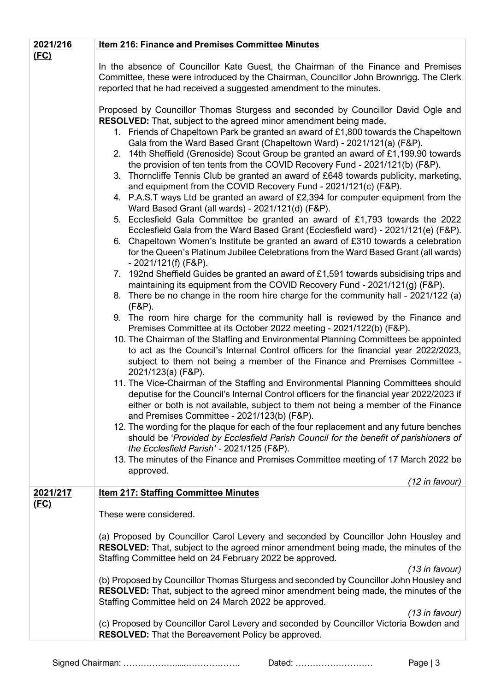| 2021/216<br><u>(FC)</u> | Item 216: Finance and Premises Committee Minutes                                                                                                                                                                                                                                                                                                                                                                                                                                                                                                                                                                                                                                                                                                                                                                                                                                                                                                                                                                                                                                                                                                                                                                                                                                                                                                                                                                                                                                                                                                                                                                                                                                                                                                                                                                                                                                                                                                                                                                                                                                                                                                                                                                                                                                                                                                                                                                 |
|-------------------------|------------------------------------------------------------------------------------------------------------------------------------------------------------------------------------------------------------------------------------------------------------------------------------------------------------------------------------------------------------------------------------------------------------------------------------------------------------------------------------------------------------------------------------------------------------------------------------------------------------------------------------------------------------------------------------------------------------------------------------------------------------------------------------------------------------------------------------------------------------------------------------------------------------------------------------------------------------------------------------------------------------------------------------------------------------------------------------------------------------------------------------------------------------------------------------------------------------------------------------------------------------------------------------------------------------------------------------------------------------------------------------------------------------------------------------------------------------------------------------------------------------------------------------------------------------------------------------------------------------------------------------------------------------------------------------------------------------------------------------------------------------------------------------------------------------------------------------------------------------------------------------------------------------------------------------------------------------------------------------------------------------------------------------------------------------------------------------------------------------------------------------------------------------------------------------------------------------------------------------------------------------------------------------------------------------------------------------------------------------------------------------------------------------------|
|                         | In the absence of Councillor Kate Guest, the Chairman of the Finance and Premises<br>Committee, these were introduced by the Chairman, Councillor John Brownrigg. The Clerk<br>reported that he had received a suggested amendment to the minutes.                                                                                                                                                                                                                                                                                                                                                                                                                                                                                                                                                                                                                                                                                                                                                                                                                                                                                                                                                                                                                                                                                                                                                                                                                                                                                                                                                                                                                                                                                                                                                                                                                                                                                                                                                                                                                                                                                                                                                                                                                                                                                                                                                               |
|                         | Proposed by Councillor Thomas Sturgess and seconded by Councillor David Ogle and<br><b>RESOLVED:</b> That, subject to the agreed minor amendment being made,<br>1. Friends of Chapeltown Park be granted an award of £1,800 towards the Chapeltown<br>Gala from the Ward Based Grant (Chapeltown Ward) - 2021/121(a) (F&P).<br>2. 14th Sheffield (Grenoside) Scout Group be granted an award of £1,199.90 towards<br>the provision of ten tents from the COVID Recovery Fund - 2021/121(b) (F&P).<br>3. Thorncliffe Tennis Club be granted an award of £648 towards publicity, marketing,<br>and equipment from the COVID Recovery Fund - 2021/121(c) (F&P).<br>4. P.A.S.T ways Ltd be granted an award of £2,394 for computer equipment from the<br>Ward Based Grant (all wards) - 2021/121(d) (F&P).<br>5. Ecclesfield Gala Committee be granted an award of £1,793 towards the 2022<br>Ecclesfield Gala from the Ward Based Grant (Ecclesfield ward) - 2021/121(e) (F&P).<br>6. Chapeltown Women's Institute be granted an award of £310 towards a celebration<br>for the Queen's Platinum Jubilee Celebrations from the Ward Based Grant (all wards)<br>$-2021/121(f)$ (F&P).<br>7. 192nd Sheffield Guides be granted an award of £1,591 towards subsidising trips and<br>maintaining its equipment from the COVID Recovery Fund - 2021/121(g) (F&P).<br>8. There be no change in the room hire charge for the community hall - 2021/122 (a)<br>$(F&P)$ .<br>9. The room hire charge for the community hall is reviewed by the Finance and<br>Premises Committee at its October 2022 meeting - 2021/122(b) (F&P).<br>10. The Chairman of the Staffing and Environmental Planning Committees be appointed<br>to act as the Council's Internal Control officers for the financial year 2022/2023,<br>subject to them not being a member of the Finance and Premises Committee -<br>2021/123(a) (F&P).<br>11. The Vice-Chairman of the Staffing and Environmental Planning Committees should<br>deputise for the Council's Internal Control officers for the financial year 2022/2023 if<br>either or both is not available, subject to them not being a member of the Finance<br>and Premises Committee - 2021/123(b) (F&P).<br>12. The wording for the plaque for each of the four replacement and any future benches<br>should be 'Provided by Ecclesfield Parish Council for the benefit of parishioners of |
|                         | the Ecclesfield Parish' - 2021/125 (F&P).<br>13. The minutes of the Finance and Premises Committee meeting of 17 March 2022 be<br>approved.                                                                                                                                                                                                                                                                                                                                                                                                                                                                                                                                                                                                                                                                                                                                                                                                                                                                                                                                                                                                                                                                                                                                                                                                                                                                                                                                                                                                                                                                                                                                                                                                                                                                                                                                                                                                                                                                                                                                                                                                                                                                                                                                                                                                                                                                      |
| 2021/217                | (12 in favour)<br><b>Item 217: Staffing Committee Minutes</b>                                                                                                                                                                                                                                                                                                                                                                                                                                                                                                                                                                                                                                                                                                                                                                                                                                                                                                                                                                                                                                                                                                                                                                                                                                                                                                                                                                                                                                                                                                                                                                                                                                                                                                                                                                                                                                                                                                                                                                                                                                                                                                                                                                                                                                                                                                                                                    |
| (FC)                    | These were considered.                                                                                                                                                                                                                                                                                                                                                                                                                                                                                                                                                                                                                                                                                                                                                                                                                                                                                                                                                                                                                                                                                                                                                                                                                                                                                                                                                                                                                                                                                                                                                                                                                                                                                                                                                                                                                                                                                                                                                                                                                                                                                                                                                                                                                                                                                                                                                                                           |
|                         | (a) Proposed by Councillor Carol Levery and seconded by Councillor John Housley and<br><b>RESOLVED:</b> That, subject to the agreed minor amendment being made, the minutes of the<br>Staffing Committee held on 24 February 2022 be approved.                                                                                                                                                                                                                                                                                                                                                                                                                                                                                                                                                                                                                                                                                                                                                                                                                                                                                                                                                                                                                                                                                                                                                                                                                                                                                                                                                                                                                                                                                                                                                                                                                                                                                                                                                                                                                                                                                                                                                                                                                                                                                                                                                                   |
|                         | $(13$ in favour)<br>(b) Proposed by Councillor Thomas Sturgess and seconded by Councillor John Housley and<br><b>RESOLVED:</b> That, subject to the agreed minor amendment being made, the minutes of the<br>Staffing Committee held on 24 March 2022 be approved.                                                                                                                                                                                                                                                                                                                                                                                                                                                                                                                                                                                                                                                                                                                                                                                                                                                                                                                                                                                                                                                                                                                                                                                                                                                                                                                                                                                                                                                                                                                                                                                                                                                                                                                                                                                                                                                                                                                                                                                                                                                                                                                                               |
|                         | $(13$ in favour)<br>(c) Proposed by Councillor Carol Levery and seconded by Councillor Victoria Bowden and<br><b>RESOLVED:</b> That the Bereavement Policy be approved.                                                                                                                                                                                                                                                                                                                                                                                                                                                                                                                                                                                                                                                                                                                                                                                                                                                                                                                                                                                                                                                                                                                                                                                                                                                                                                                                                                                                                                                                                                                                                                                                                                                                                                                                                                                                                                                                                                                                                                                                                                                                                                                                                                                                                                          |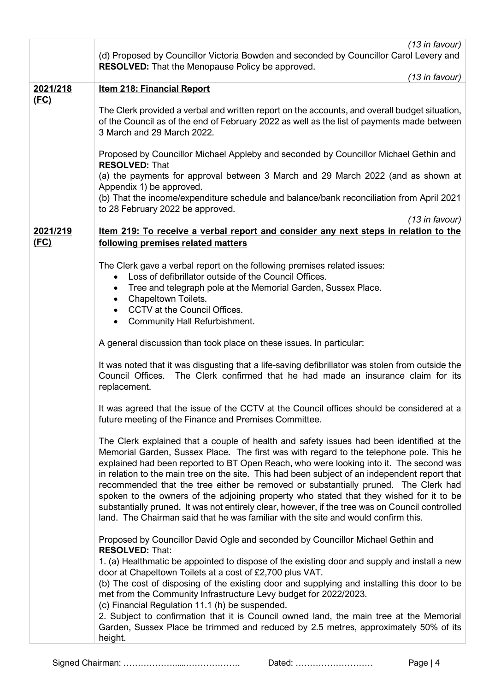|                  | $(13$ in favour)                                                                                                                                                                                                                                                                                                                                                                                                                                                                                                                                                                                                                                                                                                                                         |
|------------------|----------------------------------------------------------------------------------------------------------------------------------------------------------------------------------------------------------------------------------------------------------------------------------------------------------------------------------------------------------------------------------------------------------------------------------------------------------------------------------------------------------------------------------------------------------------------------------------------------------------------------------------------------------------------------------------------------------------------------------------------------------|
|                  | (d) Proposed by Councillor Victoria Bowden and seconded by Councillor Carol Levery and                                                                                                                                                                                                                                                                                                                                                                                                                                                                                                                                                                                                                                                                   |
|                  | <b>RESOLVED:</b> That the Menopause Policy be approved.<br>(13 in favour)                                                                                                                                                                                                                                                                                                                                                                                                                                                                                                                                                                                                                                                                                |
| 2021/218         | <b>Item 218: Financial Report</b>                                                                                                                                                                                                                                                                                                                                                                                                                                                                                                                                                                                                                                                                                                                        |
| (FC)             |                                                                                                                                                                                                                                                                                                                                                                                                                                                                                                                                                                                                                                                                                                                                                          |
|                  | The Clerk provided a verbal and written report on the accounts, and overall budget situation,<br>of the Council as of the end of February 2022 as well as the list of payments made between<br>3 March and 29 March 2022.                                                                                                                                                                                                                                                                                                                                                                                                                                                                                                                                |
|                  | Proposed by Councillor Michael Appleby and seconded by Councillor Michael Gethin and<br><b>RESOLVED: That</b>                                                                                                                                                                                                                                                                                                                                                                                                                                                                                                                                                                                                                                            |
|                  | (a) the payments for approval between 3 March and 29 March 2022 (and as shown at<br>Appendix 1) be approved.                                                                                                                                                                                                                                                                                                                                                                                                                                                                                                                                                                                                                                             |
|                  | (b) That the income/expenditure schedule and balance/bank reconciliation from April 2021<br>to 28 February 2022 be approved.                                                                                                                                                                                                                                                                                                                                                                                                                                                                                                                                                                                                                             |
|                  | (13 in favour)                                                                                                                                                                                                                                                                                                                                                                                                                                                                                                                                                                                                                                                                                                                                           |
| 2021/219<br>(FC) | Item 219: To receive a verbal report and consider any next steps in relation to the<br>following premises related matters                                                                                                                                                                                                                                                                                                                                                                                                                                                                                                                                                                                                                                |
|                  | The Clerk gave a verbal report on the following premises related issues:                                                                                                                                                                                                                                                                                                                                                                                                                                                                                                                                                                                                                                                                                 |
|                  | Loss of defibrillator outside of the Council Offices.                                                                                                                                                                                                                                                                                                                                                                                                                                                                                                                                                                                                                                                                                                    |
|                  | Tree and telegraph pole at the Memorial Garden, Sussex Place.                                                                                                                                                                                                                                                                                                                                                                                                                                                                                                                                                                                                                                                                                            |
|                  | Chapeltown Toilets.                                                                                                                                                                                                                                                                                                                                                                                                                                                                                                                                                                                                                                                                                                                                      |
|                  | CCTV at the Council Offices.                                                                                                                                                                                                                                                                                                                                                                                                                                                                                                                                                                                                                                                                                                                             |
|                  | <b>Community Hall Refurbishment.</b>                                                                                                                                                                                                                                                                                                                                                                                                                                                                                                                                                                                                                                                                                                                     |
|                  | A general discussion than took place on these issues. In particular:                                                                                                                                                                                                                                                                                                                                                                                                                                                                                                                                                                                                                                                                                     |
|                  | It was noted that it was disgusting that a life-saving defibrillator was stolen from outside the<br>Council Offices.<br>The Clerk confirmed that he had made an insurance claim for its<br>replacement.                                                                                                                                                                                                                                                                                                                                                                                                                                                                                                                                                  |
|                  | It was agreed that the issue of the CCTV at the Council offices should be considered at a<br>future meeting of the Finance and Premises Committee.                                                                                                                                                                                                                                                                                                                                                                                                                                                                                                                                                                                                       |
|                  |                                                                                                                                                                                                                                                                                                                                                                                                                                                                                                                                                                                                                                                                                                                                                          |
|                  | The Clerk explained that a couple of health and safety issues had been identified at the<br>Memorial Garden, Sussex Place. The first was with regard to the telephone pole. This he<br>explained had been reported to BT Open Reach, who were looking into it. The second was<br>in relation to the main tree on the site. This had been subject of an independent report that<br>recommended that the tree either be removed or substantially pruned. The Clerk had<br>spoken to the owners of the adjoining property who stated that they wished for it to be<br>substantially pruned. It was not entirely clear, however, if the tree was on Council controlled<br>land. The Chairman said that he was familiar with the site and would confirm this. |
|                  | Proposed by Councillor David Ogle and seconded by Councillor Michael Gethin and<br><b>RESOLVED: That:</b>                                                                                                                                                                                                                                                                                                                                                                                                                                                                                                                                                                                                                                                |
|                  | 1. (a) Healthmatic be appointed to dispose of the existing door and supply and install a new                                                                                                                                                                                                                                                                                                                                                                                                                                                                                                                                                                                                                                                             |
|                  | door at Chapeltown Toilets at a cost of £2,700 plus VAT.                                                                                                                                                                                                                                                                                                                                                                                                                                                                                                                                                                                                                                                                                                 |
|                  | (b) The cost of disposing of the existing door and supplying and installing this door to be                                                                                                                                                                                                                                                                                                                                                                                                                                                                                                                                                                                                                                                              |
|                  | met from the Community Infrastructure Levy budget for 2022/2023.                                                                                                                                                                                                                                                                                                                                                                                                                                                                                                                                                                                                                                                                                         |
|                  | (c) Financial Regulation 11.1 (h) be suspended.                                                                                                                                                                                                                                                                                                                                                                                                                                                                                                                                                                                                                                                                                                          |
|                  | 2. Subject to confirmation that it is Council owned land, the main tree at the Memorial<br>Garden, Sussex Place be trimmed and reduced by 2.5 metres, approximately 50% of its<br>height.                                                                                                                                                                                                                                                                                                                                                                                                                                                                                                                                                                |
|                  |                                                                                                                                                                                                                                                                                                                                                                                                                                                                                                                                                                                                                                                                                                                                                          |

Signed Chairman: ……………….....………………. Dated: ……………………… Page | 4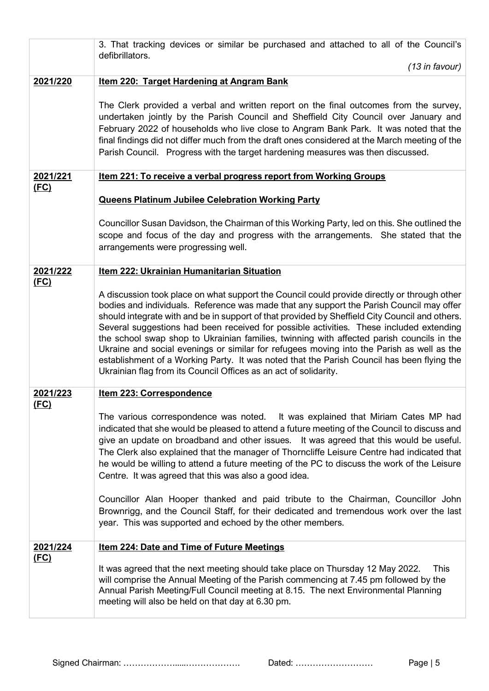|             | 3. That tracking devices or similar be purchased and attached to all of the Council's<br>defibrillators.                                                                                                                                                                                                                                                                                                                                                                                                                                                                                                                                                                                                                                         |  |  |  |  |  |
|-------------|--------------------------------------------------------------------------------------------------------------------------------------------------------------------------------------------------------------------------------------------------------------------------------------------------------------------------------------------------------------------------------------------------------------------------------------------------------------------------------------------------------------------------------------------------------------------------------------------------------------------------------------------------------------------------------------------------------------------------------------------------|--|--|--|--|--|
|             | $(13$ in favour)                                                                                                                                                                                                                                                                                                                                                                                                                                                                                                                                                                                                                                                                                                                                 |  |  |  |  |  |
| 2021/220    | Item 220: Target Hardening at Angram Bank                                                                                                                                                                                                                                                                                                                                                                                                                                                                                                                                                                                                                                                                                                        |  |  |  |  |  |
|             | The Clerk provided a verbal and written report on the final outcomes from the survey,<br>undertaken jointly by the Parish Council and Sheffield City Council over January and<br>February 2022 of households who live close to Angram Bank Park. It was noted that the<br>final findings did not differ much from the draft ones considered at the March meeting of the<br>Parish Council. Progress with the target hardening measures was then discussed.                                                                                                                                                                                                                                                                                       |  |  |  |  |  |
| 2021/221    | Item 221: To receive a verbal progress report from Working Groups                                                                                                                                                                                                                                                                                                                                                                                                                                                                                                                                                                                                                                                                                |  |  |  |  |  |
| (FC)        | <b>Queens Platinum Jubilee Celebration Working Party</b>                                                                                                                                                                                                                                                                                                                                                                                                                                                                                                                                                                                                                                                                                         |  |  |  |  |  |
|             |                                                                                                                                                                                                                                                                                                                                                                                                                                                                                                                                                                                                                                                                                                                                                  |  |  |  |  |  |
|             | Councillor Susan Davidson, the Chairman of this Working Party, led on this. She outlined the<br>scope and focus of the day and progress with the arrangements. She stated that the<br>arrangements were progressing well.                                                                                                                                                                                                                                                                                                                                                                                                                                                                                                                        |  |  |  |  |  |
| 2021/222    | Item 222: Ukrainian Humanitarian Situation                                                                                                                                                                                                                                                                                                                                                                                                                                                                                                                                                                                                                                                                                                       |  |  |  |  |  |
| (FC)        | A discussion took place on what support the Council could provide directly or through other<br>bodies and individuals. Reference was made that any support the Parish Council may offer<br>should integrate with and be in support of that provided by Sheffield City Council and others.<br>Several suggestions had been received for possible activities. These included extending<br>the school swap shop to Ukrainian families, twinning with affected parish councils in the<br>Ukraine and social evenings or similar for refugees moving into the Parish as well as the<br>establishment of a Working Party. It was noted that the Parish Council has been flying the<br>Ukrainian flag from its Council Offices as an act of solidarity. |  |  |  |  |  |
| 2021/223    | Item 223: Correspondence                                                                                                                                                                                                                                                                                                                                                                                                                                                                                                                                                                                                                                                                                                                         |  |  |  |  |  |
| <u>(FC)</u> | The various correspondence was noted. It was explained that Miriam Cates MP had<br>indicated that she would be pleased to attend a future meeting of the Council to discuss and<br>give an update on broadband and other issues. It was agreed that this would be useful.<br>The Clerk also explained that the manager of Thorncliffe Leisure Centre had indicated that<br>he would be willing to attend a future meeting of the PC to discuss the work of the Leisure<br>Centre. It was agreed that this was also a good idea.                                                                                                                                                                                                                  |  |  |  |  |  |
|             | Councillor Alan Hooper thanked and paid tribute to the Chairman, Councillor John<br>Brownrigg, and the Council Staff, for their dedicated and tremendous work over the last<br>year. This was supported and echoed by the other members.                                                                                                                                                                                                                                                                                                                                                                                                                                                                                                         |  |  |  |  |  |
| 2021/224    | <b>Item 224: Date and Time of Future Meetings</b>                                                                                                                                                                                                                                                                                                                                                                                                                                                                                                                                                                                                                                                                                                |  |  |  |  |  |
| <u>(FC)</u> | It was agreed that the next meeting should take place on Thursday 12 May 2022.<br><b>This</b><br>will comprise the Annual Meeting of the Parish commencing at 7.45 pm followed by the<br>Annual Parish Meeting/Full Council meeting at 8.15. The next Environmental Planning<br>meeting will also be held on that day at 6.30 pm.                                                                                                                                                                                                                                                                                                                                                                                                                |  |  |  |  |  |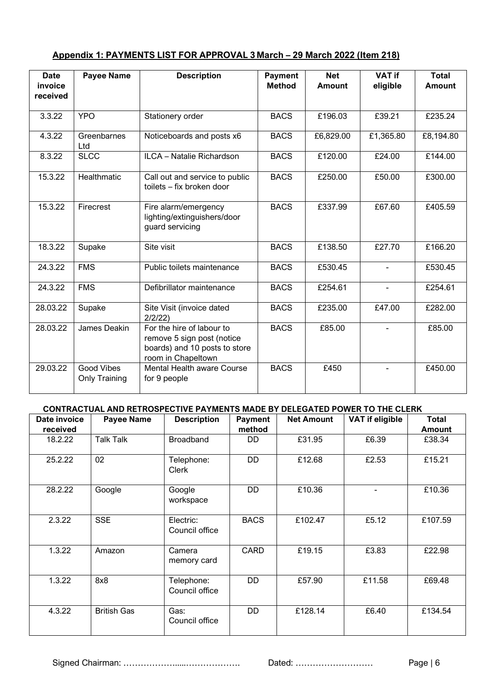| Appendix 1: PAYMENTS LIST FOR APPROVAL 3 March – 29 March 2022 (Item 218) |  |
|---------------------------------------------------------------------------|--|
|                                                                           |  |

| <b>Date</b><br>invoice<br>received | <b>Payee Name</b>                  | <b>Description</b>                                                                                             | <b>Payment</b><br><b>Method</b> | <b>Net</b><br><b>Amount</b> | <b>VAT if</b><br>eligible | <b>Total</b><br><b>Amount</b> |
|------------------------------------|------------------------------------|----------------------------------------------------------------------------------------------------------------|---------------------------------|-----------------------------|---------------------------|-------------------------------|
| 3.3.22                             | <b>YPO</b>                         | Stationery order                                                                                               | <b>BACS</b>                     | £196.03                     | £39.21                    | £235.24                       |
| 4.3.22                             | Greenbarnes<br>Ltd                 | Noticeboards and posts x6                                                                                      | <b>BACS</b>                     | £6,829.00                   | £1,365.80                 | £8,194.80                     |
| 8.3.22                             | <b>SLCC</b>                        | ILCA - Natalie Richardson                                                                                      | <b>BACS</b>                     | £120.00                     | £24.00                    | £144.00                       |
| 15.3.22                            | Healthmatic                        | Call out and service to public<br>toilets - fix broken door                                                    | <b>BACS</b>                     | £250.00                     | £50.00                    | £300.00                       |
| 15.3.22                            | Firecrest                          | Fire alarm/emergency<br>lighting/extinguishers/door<br>guard servicing                                         | <b>BACS</b>                     | £337.99                     | £67.60                    | £405.59                       |
| 18.3.22                            | Supake                             | Site visit                                                                                                     | <b>BACS</b>                     | £138.50                     | £27.70                    | £166.20                       |
| 24.3.22                            | <b>FMS</b>                         | Public toilets maintenance                                                                                     | <b>BACS</b>                     | £530.45                     | $\blacksquare$            | £530.45                       |
| 24.3.22                            | <b>FMS</b>                         | Defibrillator maintenance                                                                                      | <b>BACS</b>                     | £254.61                     | $\blacksquare$            | £254.61                       |
| 28.03.22                           | Supake                             | Site Visit (invoice dated<br>2/2/22                                                                            | <b>BACS</b>                     | £235.00                     | £47.00                    | £282.00                       |
| 28.03.22                           | James Deakin                       | For the hire of labour to<br>remove 5 sign post (notice<br>boards) and 10 posts to store<br>room in Chapeltown | <b>BACS</b>                     | £85.00                      |                           | £85.00                        |
| 29.03.22                           | <b>Good Vibes</b><br>Only Training | <b>Mental Health aware Course</b><br>for 9 people                                                              | <b>BACS</b>                     | £450                        |                           | £450.00                       |

### **CONTRACTUAL AND RETROSPECTIVE PAYMENTS MADE BY DELEGATED POWER TO THE CLERK**

| Date invoice<br>received | <b>Payee Name</b>  | <b>Description</b>           | <b>Payment</b><br>method | <b>Net Amount</b> | <b>VAT if eligible</b> | <b>Total</b><br><b>Amount</b> |
|--------------------------|--------------------|------------------------------|--------------------------|-------------------|------------------------|-------------------------------|
| 18.2.22                  | <b>Talk Talk</b>   | <b>Broadband</b>             | DD                       | £31.95            | £6.39                  | £38.34                        |
| 25.2.22                  | 02                 | Telephone:<br>Clerk          | DD                       | £12.68            | £2.53                  | £15.21                        |
| 28.2.22                  | Google             | Google<br>workspace          | DD                       | £10.36            |                        | £10.36                        |
| 2.3.22                   | <b>SSE</b>         | Electric:<br>Council office  | <b>BACS</b>              | £102.47           | £5.12                  | £107.59                       |
| 1.3.22                   | Amazon             | Camera<br>memory card        | <b>CARD</b>              | £19.15            | £3.83                  | £22.98                        |
| 1.3.22                   | 8x8                | Telephone:<br>Council office | DD                       | £57.90            | £11.58                 | £69.48                        |
| 4.3.22                   | <b>British Gas</b> | Gas:<br>Council office       | DD                       | £128.14           | £6.40                  | £134.54                       |

Signed Chairman: ……………….....………………. Dated: ……………………… Page | 6